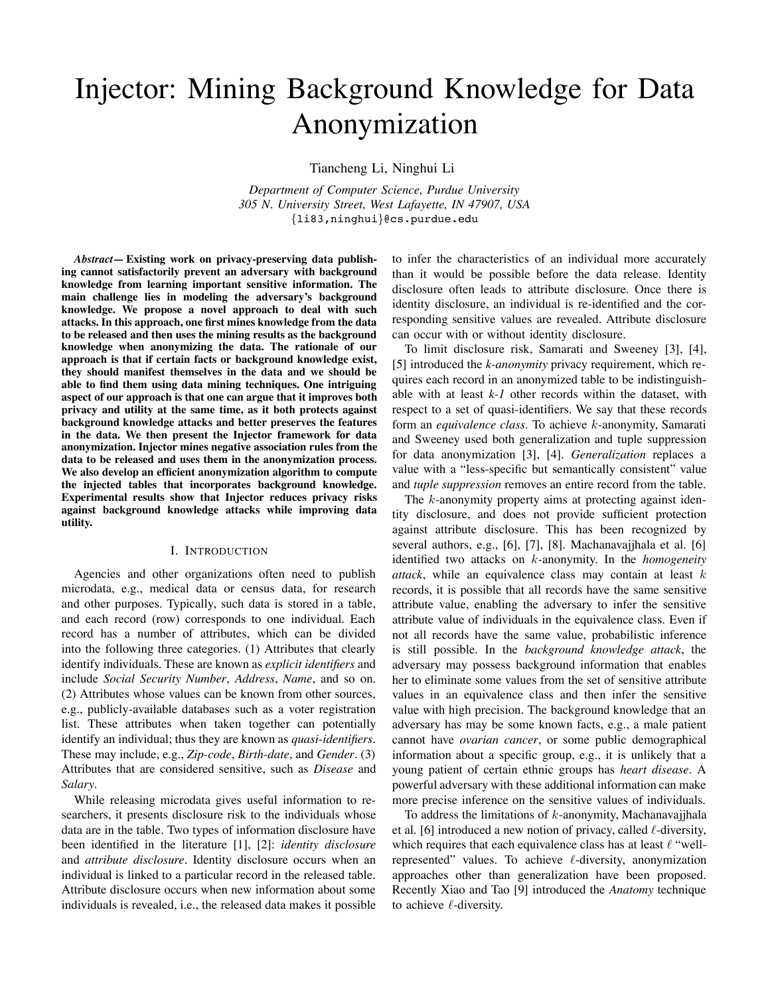# Injector: Mining Background Knowledge for Data Anonymization

Tiancheng Li, Ninghui Li

*Department of Computer Science, Purdue University 305 N. University Street, West Lafayette, IN 47907, USA* {li83,ninghui}@cs.purdue.edu

*Abstract***— Existing work on privacy-preserving data publishing cannot satisfactorily prevent an adversary with background knowledge from learning important sensitive information. The main challenge lies in modeling the adversary's background knowledge. We propose a novel approach to deal with such attacks. In this approach, one first mines knowledge from the data to be released and then uses the mining results as the background knowledge when anonymizing the data. The rationale of our approach is that if certain facts or background knowledge exist, they should manifest themselves in the data and we should be able to find them using data mining techniques. One intriguing aspect of our approach is that one can argue that it improves both privacy and utility at the same time, as it both protects against background knowledge attacks and better preserves the features in the data. We then present the Injector framework for data anonymization. Injector mines negative association rules from the data to be released and uses them in the anonymization process. We also develop an efficient anonymization algorithm to compute the injected tables that incorporates background knowledge. Experimental results show that Injector reduces privacy risks against background knowledge attacks while improving data utility.**

#### I. INTRODUCTION

Agencies and other organizations often need to publish microdata, e.g., medical data or census data, for research and other purposes. Typically, such data is stored in a table, and each record (row) corresponds to one individual. Each record has a number of attributes, which can be divided into the following three categories. (1) Attributes that clearly identify individuals. These are known as *explicit identifiers* and include *Social Security Number*, *Address*, *Name*, and so on. (2) Attributes whose values can be known from other sources, e.g., publicly-available databases such as a voter registration list. These attributes when taken together can potentially identify an individual; thus they are known as *quasi-identifiers*. These may include, e.g., *Zip-code*, *Birth-date*, and *Gender*. (3) Attributes that are considered sensitive, such as *Disease* and *Salary*.

While releasing microdata gives useful information to researchers, it presents disclosure risk to the individuals whose data are in the table. Two types of information disclosure have been identified in the literature [1], [2]: *identity disclosure* and *attribute disclosure*. Identity disclosure occurs when an individual is linked to a particular record in the released table. Attribute disclosure occurs when new information about some individuals is revealed, i.e., the released data makes it possible to infer the characteristics of an individual more accurately than it would be possible before the data release. Identity disclosure often leads to attribute disclosure. Once there is identity disclosure, an individual is re-identified and the corresponding sensitive values are revealed. Attribute disclosure can occur with or without identity disclosure.

To limit disclosure risk, Samarati and Sweeney [3], [4], [5] introduced the *k-anonymity* privacy requirement, which requires each record in an anonymized table to be indistinguishable with at least *k-1* other records within the dataset, with respect to a set of quasi-identifiers. We say that these records form an *equivalence class*. To achieve k-anonymity, Samarati and Sweeney used both generalization and tuple suppression for data anonymization [3], [4]. *Generalization* replaces a value with a "less-specific but semantically consistent" value and *tuple suppression* removes an entire record from the table.

The k-anonymity property aims at protecting against identity disclosure, and does not provide sufficient protection against attribute disclosure. This has been recognized by several authors, e.g., [6], [7], [8]. Machanavajjhala et al. [6] identified two attacks on k-anonymity. In the *homogeneity attack*, while an equivalence class may contain at least k records, it is possible that all records have the same sensitive attribute value, enabling the adversary to infer the sensitive attribute value of individuals in the equivalence class. Even if not all records have the same value, probabilistic inference is still possible. In the *background knowledge attack*, the adversary may possess background information that enables her to eliminate some values from the set of sensitive attribute values in an equivalence class and then infer the sensitive value with high precision. The background knowledge that an adversary has may be some known facts, e.g., a male patient cannot have *ovarian cancer*, or some public demographical information about a specific group, e.g., it is unlikely that a young patient of certain ethnic groups has *heart disease*. A powerful adversary with these additional information can make more precise inference on the sensitive values of individuals.

To address the limitations of  $k$ -anonymity, Machanavajjhala et al. [6] introduced a new notion of privacy, called  $\ell$ -diversity, which requires that each equivalence class has at least  $\ell$  "wellrepresented" values. To achieve  $\ell$ -diversity, anonymization approaches other than generalization have been proposed. Recently Xiao and Tao [9] introduced the *Anatomy* technique to achieve  $\ell$ -diversity.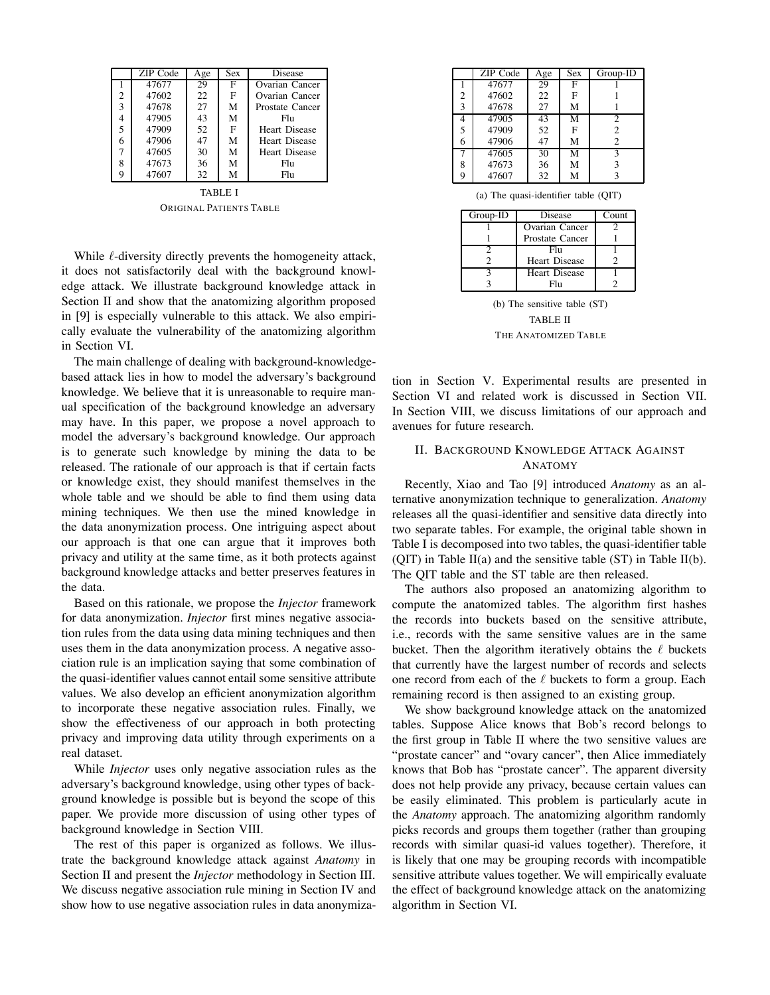|   | ZIP Code | Age | $\overline{S}ex$ | Disease              |
|---|----------|-----|------------------|----------------------|
|   | 47677    | 29  | F                | Ovarian Cancer       |
| 2 | 47602    | 22  | F                | Ovarian Cancer       |
| 3 | 47678    | 27  | M                | Prostate Cancer      |
| 4 | 47905    | 43  | M                | Fhi                  |
| 5 | 47909    | 52  | $\mathbf{F}$     | <b>Heart Disease</b> |
| 6 | 47906    | 47  | M                | <b>Heart Disease</b> |
| 7 | 47605    | 30  | М                | <b>Heart Disease</b> |
| 8 | 47673    | 36  | М                | Flu                  |
| 9 | 47607    | 32  | М                | Flu                  |

TABLE I ORIGINAL PATIENTS TABLE

While  $\ell$ -diversity directly prevents the homogeneity attack, it does not satisfactorily deal with the background knowledge attack. We illustrate background knowledge attack in Section II and show that the anatomizing algorithm proposed in [9] is especially vulnerable to this attack. We also empirically evaluate the vulnerability of the anatomizing algorithm in Section VI.

The main challenge of dealing with background-knowledgebased attack lies in how to model the adversary's background knowledge. We believe that it is unreasonable to require manual specification of the background knowledge an adversary may have. In this paper, we propose a novel approach to model the adversary's background knowledge. Our approach is to generate such knowledge by mining the data to be released. The rationale of our approach is that if certain facts or knowledge exist, they should manifest themselves in the whole table and we should be able to find them using data mining techniques. We then use the mined knowledge in the data anonymization process. One intriguing aspect about our approach is that one can argue that it improves both privacy and utility at the same time, as it both protects against background knowledge attacks and better preserves features in the data.

Based on this rationale, we propose the *Injector* framework for data anonymization. *Injector* first mines negative association rules from the data using data mining techniques and then uses them in the data anonymization process. A negative association rule is an implication saying that some combination of the quasi-identifier values cannot entail some sensitive attribute values. We also develop an efficient anonymization algorithm to incorporate these negative association rules. Finally, we show the effectiveness of our approach in both protecting privacy and improving data utility through experiments on a real dataset.

While *Injector* uses only negative association rules as the adversary's background knowledge, using other types of background knowledge is possible but is beyond the scope of this paper. We provide more discussion of using other types of background knowledge in Section VIII.

The rest of this paper is organized as follows. We illustrate the background knowledge attack against *Anatomy* in Section II and present the *Injector* methodology in Section III. We discuss negative association rule mining in Section IV and show how to use negative association rules in data anonymiza-

|                | ZIP Code | Age | <b>Sex</b> | Group-ID       |
|----------------|----------|-----|------------|----------------|
|                | 47677    | 29  | F          |                |
| $\overline{2}$ | 47602    | 22  | F          |                |
| 3              | 47678    | 27  | М          |                |
| 4              | 47905    | 43  | M          | 2              |
| 5              | 47909    | 52  | F          | $\overline{c}$ |
| 6              | 47906    | 47  | M          | $\overline{c}$ |
| 7              | 47605    | 30  | M          | 3              |
| 8              | 47673    | 36  | M          | 3              |
| 9              | 47607    | 32  | M          |                |

|  | (a) The quasi-identifier table (QIT) |  |  |
|--|--------------------------------------|--|--|
|--|--------------------------------------|--|--|

| Group-ID | Disease              | Count |
|----------|----------------------|-------|
|          | Ovarian Cancer       |       |
|          | Prostate Cancer      |       |
|          | Fhı                  |       |
|          | Heart Disease        |       |
|          | <b>Heart Disease</b> |       |
|          | Fh                   |       |

(b) The sensitive table (ST) TABLE II THE ANATOMIZED TABLE

tion in Section V. Experimental results are presented in Section VI and related work is discussed in Section VII. In Section VIII, we discuss limitations of our approach and avenues for future research.

# II. BACKGROUND KNOWLEDGE ATTACK AGAINST ANATOMY

Recently, Xiao and Tao [9] introduced *Anatomy* as an alternative anonymization technique to generalization. *Anatomy* releases all the quasi-identifier and sensitive data directly into two separate tables. For example, the original table shown in Table I is decomposed into two tables, the quasi-identifier table (QIT) in Table II(a) and the sensitive table  $(ST)$  in Table II(b). The QIT table and the ST table are then released.

The authors also proposed an anatomizing algorithm to compute the anatomized tables. The algorithm first hashes the records into buckets based on the sensitive attribute, i.e., records with the same sensitive values are in the same bucket. Then the algorithm iteratively obtains the  $\ell$  buckets that currently have the largest number of records and selects one record from each of the  $\ell$  buckets to form a group. Each remaining record is then assigned to an existing group.

We show background knowledge attack on the anatomized tables. Suppose Alice knows that Bob's record belongs to the first group in Table II where the two sensitive values are "prostate cancer" and "ovary cancer", then Alice immediately knows that Bob has "prostate cancer". The apparent diversity does not help provide any privacy, because certain values can be easily eliminated. This problem is particularly acute in the *Anatomy* approach. The anatomizing algorithm randomly picks records and groups them together (rather than grouping records with similar quasi-id values together). Therefore, it is likely that one may be grouping records with incompatible sensitive attribute values together. We will empirically evaluate the effect of background knowledge attack on the anatomizing algorithm in Section VI.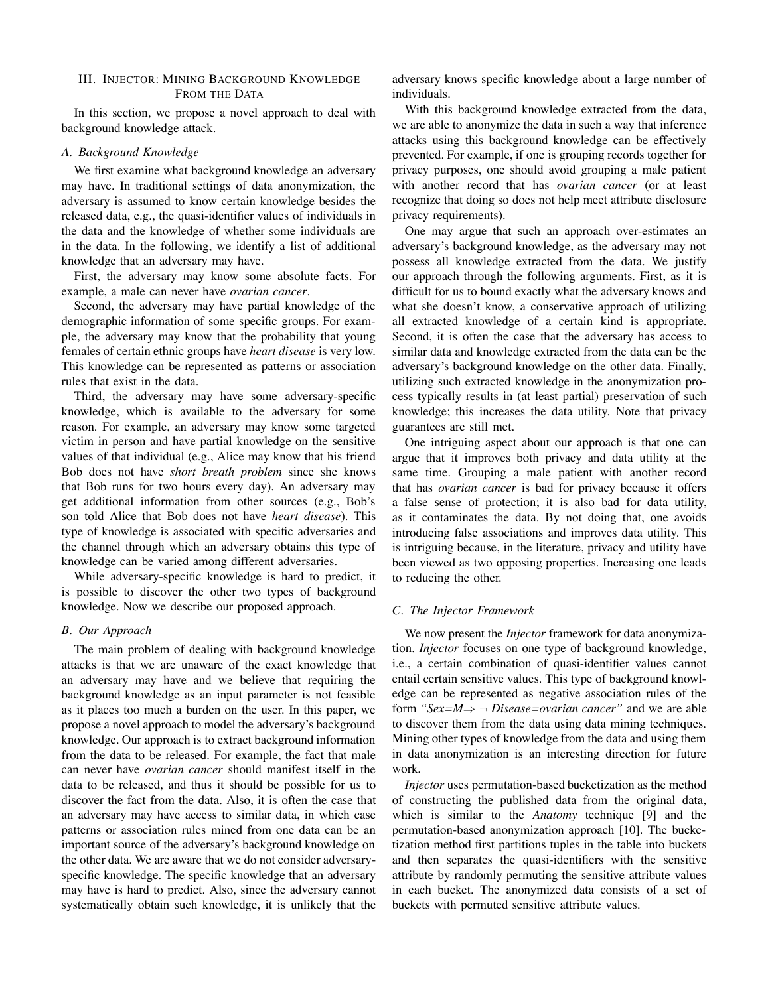# III. INJECTOR: MINING BACKGROUND KNOWLEDGE FROM THE DATA

In this section, we propose a novel approach to deal with background knowledge attack.

# *A. Background Knowledge*

We first examine what background knowledge an adversary may have. In traditional settings of data anonymization, the adversary is assumed to know certain knowledge besides the released data, e.g., the quasi-identifier values of individuals in the data and the knowledge of whether some individuals are in the data. In the following, we identify a list of additional knowledge that an adversary may have.

First, the adversary may know some absolute facts. For example, a male can never have *ovarian cancer*.

Second, the adversary may have partial knowledge of the demographic information of some specific groups. For example, the adversary may know that the probability that young females of certain ethnic groups have *heart disease* is very low. This knowledge can be represented as patterns or association rules that exist in the data.

Third, the adversary may have some adversary-specific knowledge, which is available to the adversary for some reason. For example, an adversary may know some targeted victim in person and have partial knowledge on the sensitive values of that individual (e.g., Alice may know that his friend Bob does not have *short breath problem* since she knows that Bob runs for two hours every day). An adversary may get additional information from other sources (e.g., Bob's son told Alice that Bob does not have *heart disease*). This type of knowledge is associated with specific adversaries and the channel through which an adversary obtains this type of knowledge can be varied among different adversaries.

While adversary-specific knowledge is hard to predict, it is possible to discover the other two types of background knowledge. Now we describe our proposed approach.

## *B. Our Approach*

The main problem of dealing with background knowledge attacks is that we are unaware of the exact knowledge that an adversary may have and we believe that requiring the background knowledge as an input parameter is not feasible as it places too much a burden on the user. In this paper, we propose a novel approach to model the adversary's background knowledge. Our approach is to extract background information from the data to be released. For example, the fact that male can never have *ovarian cancer* should manifest itself in the data to be released, and thus it should be possible for us to discover the fact from the data. Also, it is often the case that an adversary may have access to similar data, in which case patterns or association rules mined from one data can be an important source of the adversary's background knowledge on the other data. We are aware that we do not consider adversaryspecific knowledge. The specific knowledge that an adversary may have is hard to predict. Also, since the adversary cannot systematically obtain such knowledge, it is unlikely that the

adversary knows specific knowledge about a large number of individuals.

With this background knowledge extracted from the data, we are able to anonymize the data in such a way that inference attacks using this background knowledge can be effectively prevented. For example, if one is grouping records together for privacy purposes, one should avoid grouping a male patient with another record that has *ovarian cancer* (or at least recognize that doing so does not help meet attribute disclosure privacy requirements).

One may argue that such an approach over-estimates an adversary's background knowledge, as the adversary may not possess all knowledge extracted from the data. We justify our approach through the following arguments. First, as it is difficult for us to bound exactly what the adversary knows and what she doesn't know, a conservative approach of utilizing all extracted knowledge of a certain kind is appropriate. Second, it is often the case that the adversary has access to similar data and knowledge extracted from the data can be the adversary's background knowledge on the other data. Finally, utilizing such extracted knowledge in the anonymization process typically results in (at least partial) preservation of such knowledge; this increases the data utility. Note that privacy guarantees are still met.

One intriguing aspect about our approach is that one can argue that it improves both privacy and data utility at the same time. Grouping a male patient with another record that has *ovarian cancer* is bad for privacy because it offers a false sense of protection; it is also bad for data utility, as it contaminates the data. By not doing that, one avoids introducing false associations and improves data utility. This is intriguing because, in the literature, privacy and utility have been viewed as two opposing properties. Increasing one leads to reducing the other.

# *C. The Injector Framework*

We now present the *Injector* framework for data anonymization. *Injector* focuses on one type of background knowledge, i.e., a certain combination of quasi-identifier values cannot entail certain sensitive values. This type of background knowledge can be represented as negative association rules of the form " $Sex=M \Rightarrow \neg Disease = ovarian cancer"$  and we are able to discover them from the data using data mining techniques. Mining other types of knowledge from the data and using them in data anonymization is an interesting direction for future work.

*Injector* uses permutation-based bucketization as the method of constructing the published data from the original data, which is similar to the *Anatomy* technique [9] and the permutation-based anonymization approach [10]. The bucketization method first partitions tuples in the table into buckets and then separates the quasi-identifiers with the sensitive attribute by randomly permuting the sensitive attribute values in each bucket. The anonymized data consists of a set of buckets with permuted sensitive attribute values.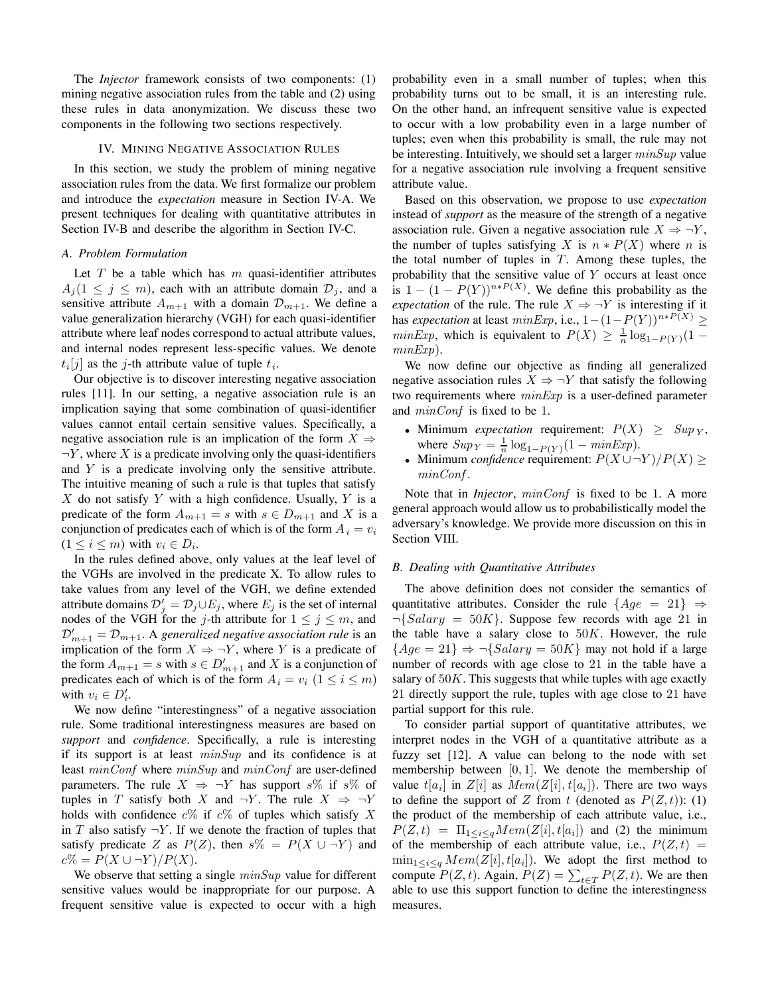The *Injector* framework consists of two components: (1) mining negative association rules from the table and (2) using these rules in data anonymization. We discuss these two components in the following two sections respectively.

#### IV. MINING NEGATIVE ASSOCIATION RULES

In this section, we study the problem of mining negative association rules from the data. We first formalize our problem and introduce the *expectation* measure in Section IV-A. We present techniques for dealing with quantitative attributes in Section IV-B and describe the algorithm in Section IV-C.

#### *A. Problem Formulation*

Let  $T$  be a table which has  $m$  quasi-identifier attributes  $A_j (1 \leq j \leq m)$ , each with an attribute domain  $\mathcal{D}_j$ , and a sensitive attribute  $A_{m+1}$  with a domain  $\mathcal{D}_{m+1}$ . We define a value generalization hierarchy (VGH) for each quasi-identifier attribute where leaf nodes correspond to actual attribute values, and internal nodes represent less-specific values. We denote  $t_i[j]$  as the j-th attribute value of tuple  $t_i$ .

Our objective is to discover interesting negative association rules [11]. In our setting, a negative association rule is an implication saying that some combination of quasi-identifier values cannot entail certain sensitive values. Specifically, a negative association rule is an implication of the form  $X \Rightarrow$  $\neg Y$ , where X is a predicate involving only the quasi-identifiers and Y is a predicate involving only the sensitive attribute. The intuitive meaning of such a rule is that tuples that satisfy  $X$  do not satisfy  $Y$  with a high confidence. Usually,  $Y$  is a predicate of the form  $A_{m+1} = s$  with  $s \in D_{m+1}$  and X is a conjunction of predicates each of which is of the form  $A_i = v_i$  $(1 \leq i \leq m)$  with  $v_i \in D_i$ .

In the rules defined above, only values at the leaf level of the VGHs are involved in the predicate X. To allow rules to take values from any level of the VGH, we define extended attribute domains  $\mathcal{D}'_j = \mathcal{D}_j \cup E_j$ , where  $E_j$  is the set of internal nodes of the VGH for the j-th attribute for  $1 \le j \le m$ , and  $\mathcal{D}'_{m+1} = \mathcal{D}_{m+1}$ . A generalized negative association rule is an implication of the form  $X \Rightarrow \neg Y$ , where Y is a predicate of the form  $A_{m+1} = s$  with  $s \in D'_{m+1}$  and X is a conjunction of predicates each of which is of the form  $A_i = v_i$   $(1 \le i \le m)$ with  $v_i \in D'_i$ .

We now define "interestingness" of a negative association rule. Some traditional interestingness measures are based on *support* and *confidence*. Specifically, a rule is interesting if its support is at least  $minSup$  and its confidence is at least  $minConf$  where  $minSup$  and  $minConf$  are user-defined parameters. The rule  $X \Rightarrow \neg Y$  has support s% if s% of tuples in T satisfy both X and  $\neg Y$ . The rule  $X \Rightarrow \neg Y$ holds with confidence  $c\%$  if  $c\%$  of tuples which satisfy X in T also satisfy  $\neg Y$ . If we denote the fraction of tuples that satisfy predicate Z as  $P(Z)$ , then  $s\% = P(X \cup \neg Y)$  and  $c\% = P(X \cup \neg Y)/P(X).$ 

We observe that setting a single  $minSup$  value for different sensitive values would be inappropriate for our purpose. A frequent sensitive value is expected to occur with a high

probability even in a small number of tuples; when this probability turns out to be small, it is an interesting rule. On the other hand, an infrequent sensitive value is expected to occur with a low probability even in a large number of tuples; even when this probability is small, the rule may not be interesting. Intuitively, we should set a larger  $minSup$  value for a negative association rule involving a frequent sensitive attribute value.

Based on this observation, we propose to use *expectation* instead of *support* as the measure of the strength of a negative association rule. Given a negative association rule  $X \Rightarrow \neg Y$ , the number of tuples satisfying X is  $n * P(X)$  where n is the total number of tuples in  $T$ . Among these tuples, the probability that the sensitive value of Y occurs at least once is  $1 - (1 - P(Y))^{n*P(X)}$ . We define this probability as the *expectation* of the rule. The rule  $X \Rightarrow \neg Y$  is interesting if it has *expectation* at least  $minExp$ , i.e.,  $1-(1-P(Y))^{n*P(X)} \ge$  $minExp$ , which is equivalent to  $P(X) \geq \frac{1}{n} \log_{1-P(Y)}(1$  $minExp$ ).

We now define our objective as finding all generalized negative association rules  $X \Rightarrow \neg Y$  that satisfy the following two requirements where  $minExp$  is a user-defined parameter and *minConf* is fixed to be 1.

- Minimum *expectation* requirement:  $P(X) \geq \text{Sup } Y$ , where  $Sup_Y = \frac{1}{n} \log_{1-P(Y)}(1 - minExp)$ .
- Minimum *confidence* requirement:  $P(X \cup \neg Y)/P(X) \ge$ minConf .

Note that in *Injector*,  $minConf$  is fixed to be 1. A more general approach would allow us to probabilistically model the adversary's knowledge. We provide more discussion on this in Section VIII.

## *B. Dealing with Quantitative Attributes*

The above definition does not consider the semantics of quantitative attributes. Consider the rule  ${Age = 21} \Rightarrow$  $\neg {Salary = 50K}$ . Suppose few records with age 21 in the table have a salary close to  $50K$ . However, the rule  ${Age = 21} \Rightarrow \neg {Salary = 50K}$  may not hold if a large number of records with age close to 21 in the table have a salary of  $50K$ . This suggests that while tuples with age exactly 21 directly support the rule, tuples with age close to 21 have partial support for this rule.

To consider partial support of quantitative attributes, we interpret nodes in the VGH of a quantitative attribute as a fuzzy set [12]. A value can belong to the node with set membership between  $[0, 1]$ . We denote the membership of value  $t[a_i]$  in  $Z[i]$  as  $Mem(Z[i], t[a_i])$ . There are two ways to define the support of Z from t (denoted as  $P(Z,t)$ ): (1) the product of the membership of each attribute value, i.e.,  $P(Z,t) = \Pi_{1 \leq i \leq q} Mem(Z[i], t[a_i])$  and (2) the minimum of the membership of each attribute value, i.e.,  $P(Z, t) =$  $\min_{1 \leq i \leq q} \text{Mem}(Z[i], t[a_i])$ . We adopt the first method to compute  $P(Z, t)$ . Again,  $P(Z) = \sum_{t \in T} P(Z, t)$ . We are then able to use this support function to define the interestingness measures.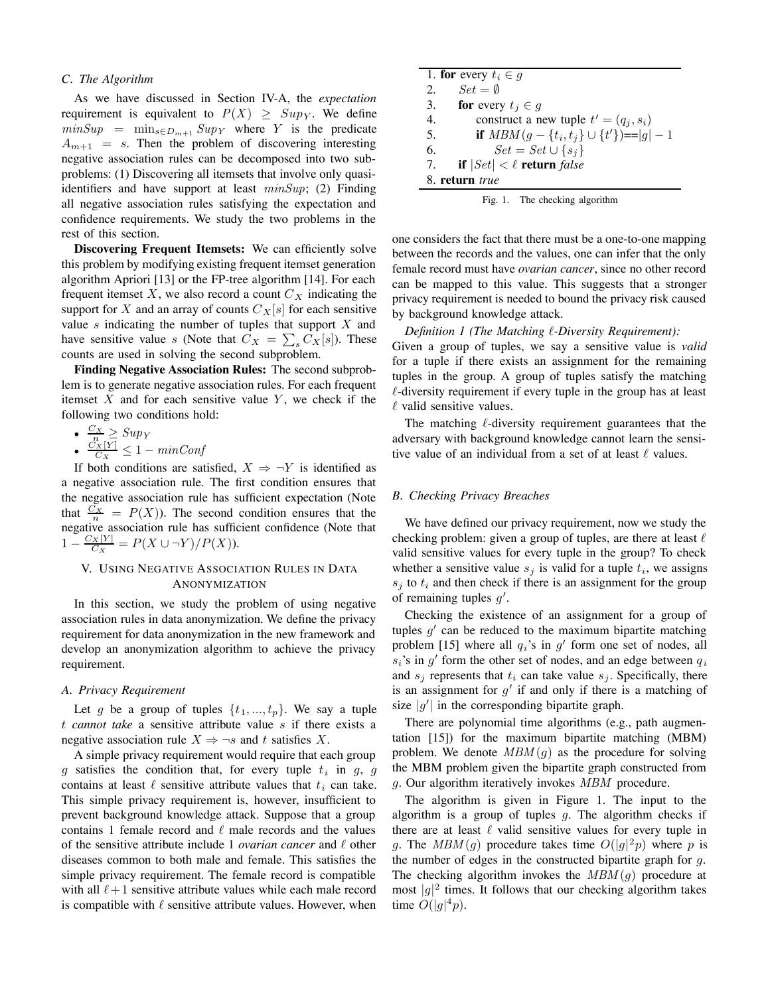#### *C. The Algorithm*

As we have discussed in Section IV-A, the *expectation* requirement is equivalent to  $P(X) \geq Sup_Y$ . We define  $minSup = min_{s \in D_{m+1}} Sup_Y$  where Y is the predicate  $A_{m+1}$  = s. Then the problem of discovering interesting negative association rules can be decomposed into two subproblems: (1) Discovering all itemsets that involve only quasiidentifiers and have support at least  $minSup$ ; (2) Finding all negative association rules satisfying the expectation and confidence requirements. We study the two problems in the rest of this section.

**Discovering Frequent Itemsets:** We can efficiently solve this problem by modifying existing frequent itemset generation algorithm Apriori [13] or the FP-tree algorithm [14]. For each frequent itemset X, we also record a count  $C_X$  indicating the support for X and an array of counts  $C_X[s]$  for each sensitive value s indicating the number of tuples that support  $X$  and have sensitive value s (Note that  $C_X = \sum_s C_X[s]$ ). These counts are used in solving the second subproblem.

**Finding Negative Association Rules:** The second subproblem is to generate negative association rules. For each frequent itemset  $X$  and for each sensitive value  $Y$ , we check if the following two conditions hold:

•  $\frac{C_X}{n} \geq \text{Supy}$ 

•  $\frac{C_X[Y]}{C_X} \leq 1 - \min\text{Conf}$ 

If both conditions are satisfied,  $X \Rightarrow \neg Y$  is identified as a negative association rule. The first condition ensures that the negative association rule has sufficient expectation (Note that  $\frac{C_X}{n} = P(X)$ ). The second condition ensures that the negative association rule has sufficient confidence (Note that  $1 - \frac{C_X[Y]}{C_X} = P(X \cup \neg Y)/P(X)$ .

# V. USING NEGATIVE ASSOCIATION RULES IN DATA ANONYMIZATION

In this section, we study the problem of using negative association rules in data anonymization. We define the privacy requirement for data anonymization in the new framework and develop an anonymization algorithm to achieve the privacy requirement.

## *A. Privacy Requirement*

Let g be a group of tuples  $\{t_1, ..., t_p\}$ . We say a tuple t *cannot take* a sensitive attribute value s if there exists a negative association rule  $X \Rightarrow \neg s$  and t satisfies X.

A simple privacy requirement would require that each group g satisfies the condition that, for every tuple  $t_i$  in g, g contains at least  $\ell$  sensitive attribute values that  $t_i$  can take. This simple privacy requirement is, however, insufficient to prevent background knowledge attack. Suppose that a group contains 1 female record and  $\ell$  male records and the values of the sensitive attribute include 1 *ovarian cancer* and  $\ell$  other diseases common to both male and female. This satisfies the simple privacy requirement. The female record is compatible with all  $\ell+1$  sensitive attribute values while each male record is compatible with  $\ell$  sensitive attribute values. However, when

|    | 1. for every $t_i \in g$                         |
|----|--------------------------------------------------|
| 2. | $Set = \emptyset$                                |
|    | 3. <b>for</b> every $t_i \in g$                  |
| 4. | construct a new tuple $t' = (q_i, s_i)$          |
| 5. | if $MBM(g - \{t_i, t_i\} \cup \{t'\}) =  g  - 1$ |
| 6. | $Set = Set \cup \{s_i\}$                         |
| 7. | <b>if</b> $ Set  < \ell$ return false            |
|    | 8. return true                                   |

one considers the fact that there must be a one-to-one mapping between the records and the values, one can infer that the only female record must have *ovarian cancer*, since no other record can be mapped to this value. This suggests that a stronger privacy requirement is needed to bound the privacy risk caused by background knowledge attack.

*Definition 1 (The Matching* !*-Diversity Requirement):* Given a group of tuples, we say a sensitive value is *valid* for a tuple if there exists an assignment for the remaining tuples in the group. A group of tuples satisfy the matching  $\ell$ -diversity requirement if every tuple in the group has at least  $\ell$  valid sensitive values.

The matching  $\ell$ -diversity requirement guarantees that the adversary with background knowledge cannot learn the sensitive value of an individual from a set of at least  $\ell$  values.

## *B. Checking Privacy Breaches*

We have defined our privacy requirement, now we study the checking problem: given a group of tuples, are there at least  $\ell$ valid sensitive values for every tuple in the group? To check whether a sensitive value  $s_i$  is valid for a tuple  $t_i$ , we assigns  $s_j$  to  $t_i$  and then check if there is an assignment for the group of remaining tuples  $g'$ .

Checking the existence of an assignment for a group of tuples  $g'$  can be reduced to the maximum bipartite matching problem [15] where all  $q_i$ 's in  $q'$  form one set of nodes, all  $s_i$ 's in  $g'$  form the other set of nodes, and an edge between  $q_i$ and  $s_i$  represents that  $t_i$  can take value  $s_i$ . Specifically, there is an assignment for  $g'$  if and only if there is a matching of size  $|g'|$  in the corresponding bipartite graph.

There are polynomial time algorithms (e.g., path augmentation [15]) for the maximum bipartite matching (MBM) problem. We denote  $MBM(g)$  as the procedure for solving the MBM problem given the bipartite graph constructed from g. Our algorithm iteratively invokes MBM procedure.

The algorithm is given in Figure 1. The input to the algorithm is a group of tuples  $g$ . The algorithm checks if there are at least  $\ell$  valid sensitive values for every tuple in g. The  $MBM(g)$  procedure takes time  $O(|g|^2p)$  where p is the number of edges in the constructed bipartite graph for  $q$ . The checking algorithm invokes the  $MBM(q)$  procedure at most  $|g|^2$  times. It follows that our checking algorithm takes time  $O(|g|^4p)$ .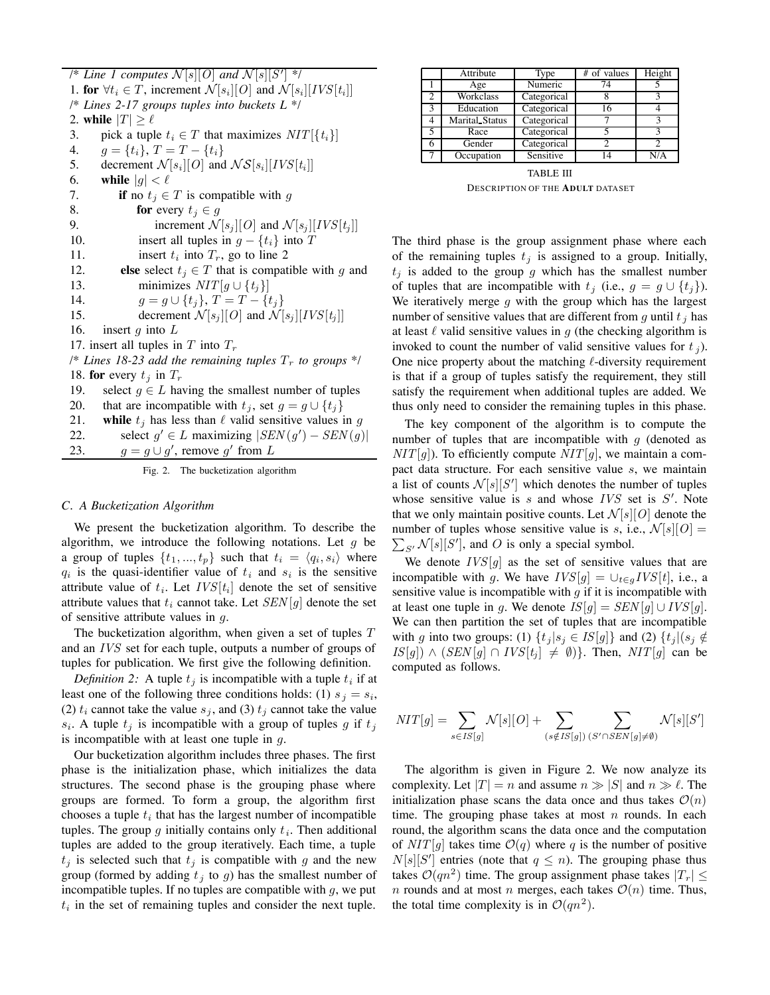$\mathbb{Z}/N$  *k l computes*  $\mathcal{N}[s][0]$  *and*  $\mathcal{N}[s][S']$  \*/ 1. **for**  $\forall t_i \in T$ , increment  $\mathcal{N}[s_i][O]$  and  $\mathcal{N}[s_i][IVS[t_i]]$ /\* *Lines 2-17 groups tuples into buckets L* \*/ 2. **while**  $|T| \ge \ell$ <br>3. **pick** a tupl 3. pick a tuple  $t_i \in T$  that maximizes  $NIT[\{t_i\}]$ <br>4.  $q = \{t_i\}, T = T - \{t_i\}$ 4.  $g = \{t_i\}, T = T - \{t_i\}$ <br>5. decrement  $\mathcal{N}[s_i][O]$  and 5. decrement  $\mathcal{N}[s_i][O]$  and  $\mathcal{NS}[s_i][IVS[t_i]]$ <br>6. while  $|q| \leq \ell$ 6. **while**  $|g| < \ell$ <br>7. **if** no  $t_i \in$ 7. **if** no  $t_j \in T$  is compatible with g<br>8. **for** every  $t_i \in q$ 8. **for** every  $t_j \in g$ <br>9. **increment**  $\mathcal N$ 9. increment  $\mathcal{N}[s_j][O]$  and  $\mathcal{N}[s_j][IVS[t_j]]$ <br>10. insert all tuples in  $q - \{t_i\}$  into T 10. insert all tuples in  $g - \{t_i\}$  into T<br>11. insert  $t_i$  into  $T_r$ , go to line 2 insert  $t_i$  into  $T_r$ , go to line 2 12. **else** select  $t_j \in T$  that is compatible with g and 13. minimizes  $NIT[q \cup \{t_i\}]$ 13. minimizes  $NIT[g \cup \{t_j\}]$ <br>14.  $q = q \cup \{t_i\}, T = T - \{t_j\}$ 14.  $g = g \cup \{t_j\}, T = T - \{t_j\}$ <br>15. decrement  $\mathcal{N}[s_i][O]$  and  $\mathcal{N}[S]$ 15. decrement  $\mathcal{N}[s_j][O]$  and  $\mathcal{N}[s_j][IVS[t_j]]$ <br>16. insert q into L insert  $g$  into  $L$ 17. insert all tuples in  $T$  into  $T_r$  $\frac{1}{8}$  *Lines* 18-23 *add the remaining tuples*  $T_r$  *to groups* \*/ 18. **for** every  $t_i$  in  $T_r$ 19. select  $g \in L$  having the smallest number of tuples 20. that are incompatible with  $t_i$ , set  $q = q \cup \{t_i\}$ 20. that are incompatible with  $t_j$ , set  $g = g \cup \{t_j\}$ <br>21. while  $t_j$  has less than  $\ell$  valid sensitive values i while  $t_i$  has less than  $\ell$  valid sensitive values in g 22. select  $g' \in L$  maximizing  $|SEN(g') - SEN(g)|$ 23.  $g = g \cup g'$ , remove g' from L

Fig. 2. The bucketization algorithm

#### *C. A Bucketization Algorithm*

We present the bucketization algorithm. To describe the algorithm, we introduce the following notations. Let  $g$  be a group of tuples  $\{t_1, ..., t_p\}$  such that  $t_i = \langle q_i, s_i \rangle$  where  $q_i$  is the quasi-identifier value of  $t_i$  and  $s_i$  is the sensitive attribute value of  $t_i$ . Let  $IVS[t_i]$  denote the set of sensitive attribute values that  $t_i$  cannot take. Let  $SEN[g]$  denote the set of sensitive attribute values in  $q$ .

The bucketization algorithm, when given a set of tuples  $T$ and an IVS set for each tuple, outputs a number of groups of tuples for publication. We first give the following definition.

*Definition* 2: A tuple  $t_i$  is incompatible with a tuple  $t_i$  if at least one of the following three conditions holds: (1)  $s_j = s_i$ , (2)  $t_i$  cannot take the value  $s_j$ , and (3)  $t_j$  cannot take the value  $s_i$ . A tuple  $t_j$  is incompatible with a group of tuples g if  $t_j$ is incompatible with at least one tuple in  $g$ .

Our bucketization algorithm includes three phases. The first phase is the initialization phase, which initializes the data structures. The second phase is the grouping phase where groups are formed. To form a group, the algorithm first chooses a tuple  $t_i$  that has the largest number of incompatible tuples. The group  $g$  initially contains only  $t_i$ . Then additional tuples are added to the group iteratively. Each time, a tuple  $t_i$  is selected such that  $t_i$  is compatible with g and the new group (formed by adding  $t_j$  to g) has the smallest number of incompatible tuples. If no tuples are compatible with  $g$ , we put  $t_i$  in the set of remaining tuples and consider the next tuple.

|   | Attribute             | Type        | # of values | Height |
|---|-----------------------|-------------|-------------|--------|
|   | Age                   | Numeric     | 74          |        |
| 2 | Workclass             | Categorical |             |        |
| 3 | Education             | Categorical | 16          |        |
|   | <b>Marital_Status</b> | Categorical |             |        |
|   | Race                  | Categorical |             |        |
|   | Gender                | Categorical |             |        |
|   | Occupation            | Sensitive   | 14          |        |

TABLE III DESCRIPTION OF THE **ADULT** DATASET

The third phase is the group assignment phase where each of the remaining tuples  $t_i$  is assigned to a group. Initially,  $t_i$  is added to the group g which has the smallest number of tuples that are incompatible with  $t_j$  (i.e.,  $g = g \cup \{t_j\}$ ). We iteratively merge  $g$  with the group which has the largest number of sensitive values that are different from g until  $t_j$  has at least  $\ell$  valid sensitive values in  $q$  (the checking algorithm is invoked to count the number of valid sensitive values for  $t_i$ ). One nice property about the matching  $\ell$ -diversity requirement is that if a group of tuples satisfy the requirement, they still satisfy the requirement when additional tuples are added. We thus only need to consider the remaining tuples in this phase.

The key component of the algorithm is to compute the number of tuples that are incompatible with  $q$  (denoted as  $NIT[q]$ ). To efficiently compute  $NIT[q]$ , we maintain a compact data structure. For each sensitive value  $s$ , we maintain a list of counts  $\mathcal{N}[s][S']$  which denotes the number of tuples whose sensitive value is  $s$  and whose  $IVS$  set is  $S'$ . Note that we only maintain positive counts. Let  $\mathcal{N}[s][O]$  denote the number of tuples whose sensitive value is s, i.e.,  $\mathcal{N}[s][0] =$  $\sum_{S'} \mathcal{N}[s][S']$ , and O is only a special symbol.

We denote  $IVS[g]$  as the set of sensitive values that are incompatible with g. We have  $IVS[g] = \bigcup_{t \in g} IVS[t]$ , i.e., a sensitive value is incompatible with  $g$  if it is incompatible with at least one tuple in g. We denote  $IS[g] = SEN[g] \cup IVS[g]$ . We can then partition the set of tuples that are incompatible with g into two groups: (1)  $\{t_i | s_i \in IS[g]\}$  and (2)  $\{t_i | (s_i \notin \mathcal{S}_i)\}$  $IS[g] \wedge (SEN[g] \cap IVS[t_j] \neq \emptyset)$ . Then,  $NIT[g]$  can be computed as follows.

$$
NIT[g] = \sum_{s \in IS[g]} \mathcal{N}[s][O] + \sum_{(s \notin IS[g])} \sum_{(S' \cap SEN[g] \neq \emptyset)} \mathcal{N}[s][S']
$$

The algorithm is given in Figure 2. We now analyze its complexity. Let  $|T| = n$  and assume  $n \gg |S|$  and  $n \gg \ell$ . The initialization phase scans the data once and thus takes  $\mathcal{O}(n)$ time. The grouping phase takes at most  $n$  rounds. In each round, the algorithm scans the data once and the computation of  $NIT[q]$  takes time  $\mathcal{O}(q)$  where q is the number of positive  $N[s][S']$  entries (note that  $q \leq n$ ). The grouping phase thus takes  $\mathcal{O}(qn^2)$  time. The group assignment phase takes  $|T_r| \le$ n rounds and at most n merges, each takes  $\mathcal{O}(n)$  time. Thus, the total time complexity is in  $\mathcal{O}(qn^2)$ .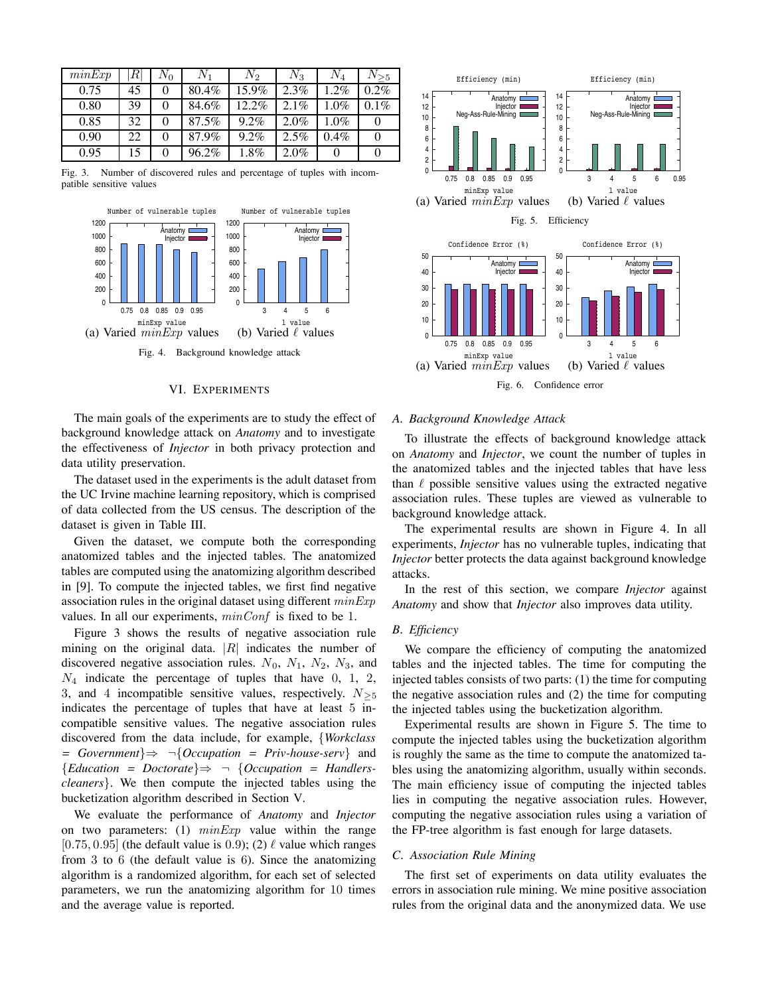| minExp | RI | $N_0$ | $N_{1}$  | N2       | $N_3$   | $\,N_4$ | $N_{>5}$ |
|--------|----|-------|----------|----------|---------|---------|----------|
| 0.75   | 45 |       | $80.4\%$ | $15.9\%$ | 2.3%    | 1.2%    | 0.2%     |
| 0.80   | 39 |       | 84.6%    | $12.2\%$ | 2.1%    | 1.0%    | $0.1\%$  |
| 0.85   | 32 |       | 87.5%    | 9.2%     | 2.0%    | 1.0%    |          |
| 0.90   | 22 | 0     | 87.9%    | 9.2%     | 2.5%    | $0.4\%$ |          |
| 0.95   |    |       | $96.2\%$ | 1.8%     | $2.0\%$ |         |          |

Fig. 3. Number of discovered rules and percentage of tuples with incompatible sensitive values



#### VI. EXPERIMENTS

The main goals of the experiments are to study the effect of background knowledge attack on *Anatomy* and to investigate the effectiveness of *Injector* in both privacy protection and data utility preservation.

The dataset used in the experiments is the adult dataset from the UC Irvine machine learning repository, which is comprised of data collected from the US census. The description of the dataset is given in Table III.

Given the dataset, we compute both the corresponding anatomized tables and the injected tables. The anatomized tables are computed using the anatomizing algorithm described in [9]. To compute the injected tables, we first find negative association rules in the original dataset using different  $minExp$ values. In all our experiments,  $minConf$  is fixed to be 1.

Figure 3 shows the results of negative association rule mining on the original data.  $|R|$  indicates the number of discovered negative association rules.  $N_0$ ,  $N_1$ ,  $N_2$ ,  $N_3$ , and  $N_4$  indicate the percentage of tuples that have 0, 1, 2, 3, and 4 incompatible sensitive values, respectively.  $N_{\geq 5}$ indicates the percentage of tuples that have at least 5 incompatible sensitive values. The negative association rules discovered from the data include, for example, {*Workclass = Government*}⇒ ¬{*Occupation = Priv-house-serv*} and  ${Education = Doctorate} \Rightarrow \neg \{Occuation = Handlers$ *cleaners*}. We then compute the injected tables using the bucketization algorithm described in Section V.

We evaluate the performance of *Anatomy* and *Injector* on two parameters: (1)  $minExp$  value within the range [0.75, 0.95] (the default value is 0.9); (2)  $\ell$  value which ranges from 3 to 6 (the default value is 6). Since the anatomizing algorithm is a randomized algorithm, for each set of selected parameters, we run the anatomizing algorithm for 10 times and the average value is reported.





Fig. 6. Confidence error

#### *A. Background Knowledge Attack*

To illustrate the effects of background knowledge attack on *Anatomy* and *Injector*, we count the number of tuples in the anatomized tables and the injected tables that have less than  $\ell$  possible sensitive values using the extracted negative association rules. These tuples are viewed as vulnerable to background knowledge attack.

The experimental results are shown in Figure 4. In all experiments, *Injector* has no vulnerable tuples, indicating that *Injector* better protects the data against background knowledge attacks.

In the rest of this section, we compare *Injector* against *Anatomy* and show that *Injector* also improves data utility.

#### *B. Efficiency*

We compare the efficiency of computing the anatomized tables and the injected tables. The time for computing the injected tables consists of two parts: (1) the time for computing the negative association rules and (2) the time for computing the injected tables using the bucketization algorithm.

Experimental results are shown in Figure 5. The time to compute the injected tables using the bucketization algorithm is roughly the same as the time to compute the anatomized tables using the anatomizing algorithm, usually within seconds. The main efficiency issue of computing the injected tables lies in computing the negative association rules. However, computing the negative association rules using a variation of the FP-tree algorithm is fast enough for large datasets.

## *C. Association Rule Mining*

The first set of experiments on data utility evaluates the errors in association rule mining. We mine positive association rules from the original data and the anonymized data. We use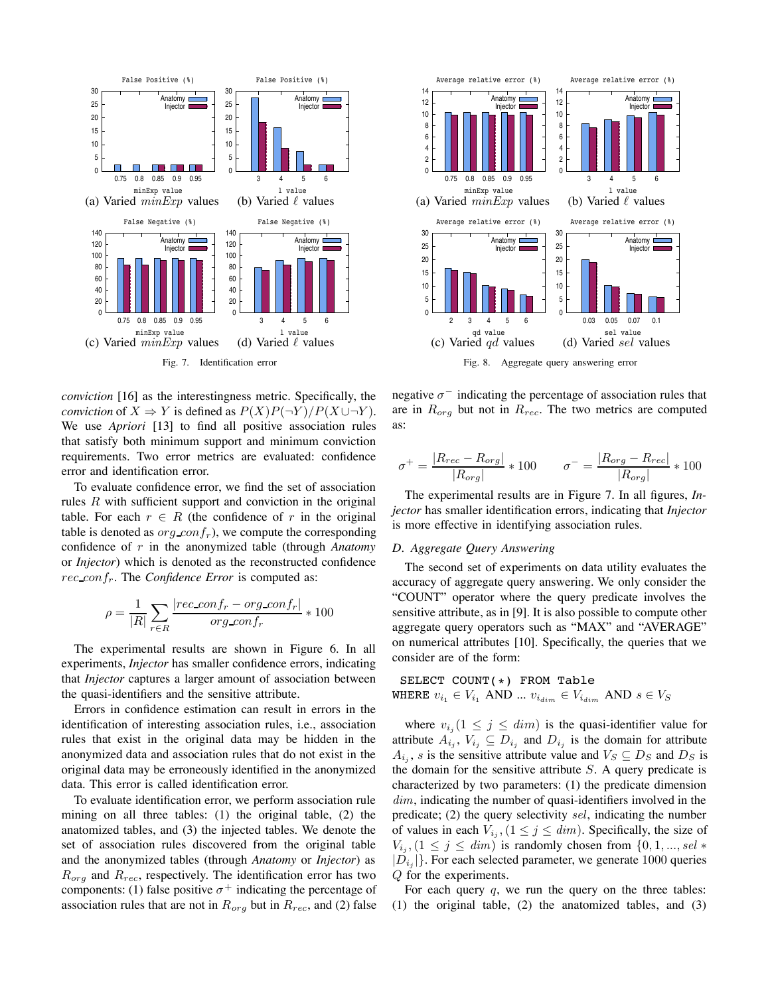

*conviction* [16] as the interestingness metric. Specifically, the *conviction* of  $X \Rightarrow Y$  is defined as  $P(X)P(\neg Y)/P(X \cup \neg Y)$ . We use *Apriori* [13] to find all positive association rules that satisfy both minimum support and minimum conviction requirements. Two error metrics are evaluated: confidence error and identification error.

To evaluate confidence error, we find the set of association rules  $R$  with sufficient support and conviction in the original table. For each  $r \in R$  (the confidence of r in the original table is denoted as  $org\text{ }conf_r$ ), we compute the corresponding confidence of r in the anonymized table (through *Anatomy* or *Injector*) which is denoted as the reconstructed confidence rec confr. The *Confidence Error* is computed as:

$$
\rho = \frac{1}{|R|} \sum_{r \in R} \frac{|rec\_{confr} - org\_{confr}|}{org\_{confr}} * 100
$$

The experimental results are shown in Figure 6. In all experiments, *Injector* has smaller confidence errors, indicating that *Injector* captures a larger amount of association between the quasi-identifiers and the sensitive attribute.

Errors in confidence estimation can result in errors in the identification of interesting association rules, i.e., association rules that exist in the original data may be hidden in the anonymized data and association rules that do not exist in the original data may be erroneously identified in the anonymized data. This error is called identification error.

To evaluate identification error, we perform association rule mining on all three tables: (1) the original table, (2) the anatomized tables, and (3) the injected tables. We denote the set of association rules discovered from the original table and the anonymized tables (through *Anatomy* or *Injector*) as  $R_{org}$  and  $R_{rec}$ , respectively. The identification error has two components: (1) false positive  $\sigma^+$  indicating the percentage of association rules that are not in  $R_{org}$  but in  $R_{rec}$ , and (2) false



negative  $\sigma^-$  indicating the percentage of association rules that are in  $R_{org}$  but not in  $R_{rec}$ . The two metrics are computed as:

$$
\sigma^{+} = \frac{|R_{rec} - R_{org}|}{|R_{org}|} * 100 \qquad \sigma^{-} = \frac{|R_{org} - R_{rec}|}{|R_{org}|} * 100
$$

The experimental results are in Figure 7. In all figures, *Injector* has smaller identification errors, indicating that *Injector* is more effective in identifying association rules.

#### *D. Aggregate Query Answering*

The second set of experiments on data utility evaluates the accuracy of aggregate query answering. We only consider the "COUNT" operator where the query predicate involves the sensitive attribute, as in [9]. It is also possible to compute other aggregate query operators such as "MAX" and "AVERAGE" on numerical attributes [10]. Specifically, the queries that we consider are of the form:

SELECT COUNT(\*) FROM Table WHERE  $v_{i_1} \in V_{i_1}$  AND  $\ldots$   $v_{i_{dim}}$   $\in V_{i_{dim}}$  AND  $s \in V_S$ 

where  $v_{i_j} (1 \leq j \leq dim)$  is the quasi-identifier value for attribute  $A_{i_j}$ ,  $V_{i_j} \subseteq D_{i_j}$  and  $D_{i_j}$  is the domain for attribute  $A_{i,j}$ , s is the sensitive attribute value and  $V_S \subseteq D_S$  and  $D_S$  is the domain for the sensitive attribute  $S$ . A query predicate is characterized by two parameters: (1) the predicate dimension  $dim$ , indicating the number of quasi-identifiers involved in the predicate; (2) the query selectivity sel, indicating the number of values in each  $V_{i_j}$ ,  $(1 \leq j \leq dim)$ . Specifically, the size of  $V_{i_j}$ ,  $(1 \leq j \leq dim)$  is randomly chosen from  $\{0, 1, ..., sel *$  $|D_{i,j}|$ . For each selected parameter, we generate 1000 queries Q for the experiments.

For each query  $q$ , we run the query on the three tables: (1) the original table, (2) the anatomized tables, and (3)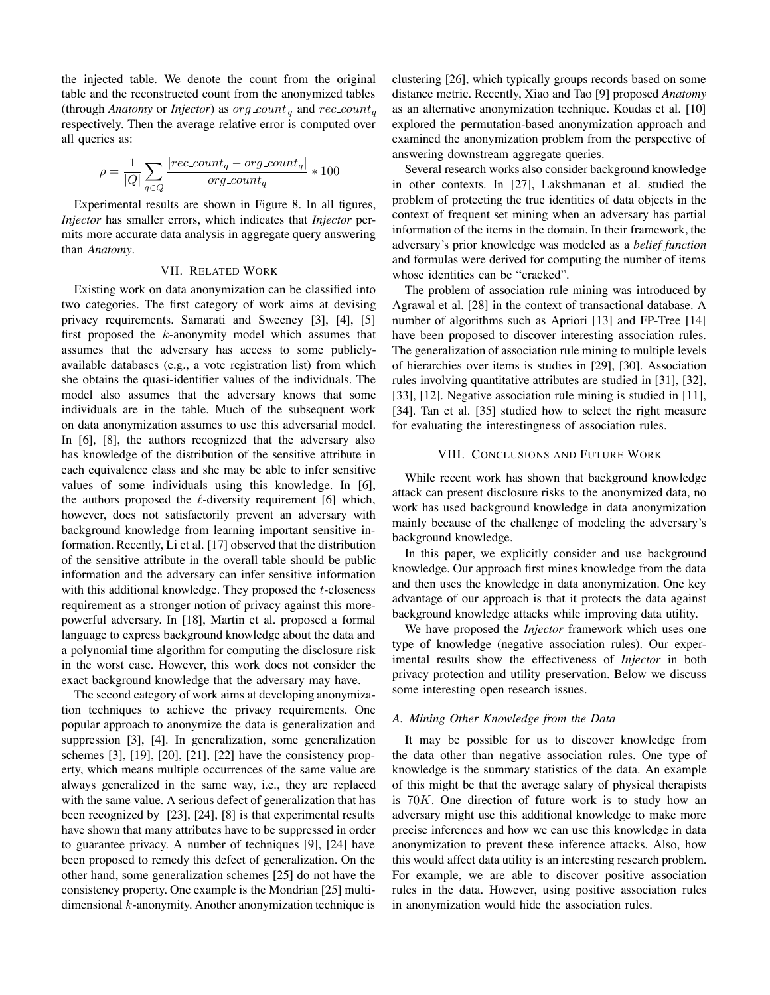the injected table. We denote the count from the original table and the reconstructed count from the anonymized tables (through *Anatomy* or *Injector*) as  $\sigma g \text{ } count_q$  and  $\tau e \text{ } count_q$ respectively. Then the average relative error is computed over all queries as:

$$
\rho = \frac{1}{|Q|} \sum_{q \in Q} \frac{|rec\_count_q - org\_count_q|}{org\_count_q} * 100
$$

Experimental results are shown in Figure 8. In all figures, *Injector* has smaller errors, which indicates that *Injector* permits more accurate data analysis in aggregate query answering than *Anatomy*.

#### VII. RELATED WORK

Existing work on data anonymization can be classified into two categories. The first category of work aims at devising privacy requirements. Samarati and Sweeney [3], [4], [5] first proposed the  $k$ -anonymity model which assumes that assumes that the adversary has access to some publiclyavailable databases (e.g., a vote registration list) from which she obtains the quasi-identifier values of the individuals. The model also assumes that the adversary knows that some individuals are in the table. Much of the subsequent work on data anonymization assumes to use this adversarial model. In [6], [8], the authors recognized that the adversary also has knowledge of the distribution of the sensitive attribute in each equivalence class and she may be able to infer sensitive values of some individuals using this knowledge. In [6], the authors proposed the  $\ell$ -diversity requirement [6] which, however, does not satisfactorily prevent an adversary with background knowledge from learning important sensitive information. Recently, Li et al. [17] observed that the distribution of the sensitive attribute in the overall table should be public information and the adversary can infer sensitive information with this additional knowledge. They proposed the  $t$ -closeness requirement as a stronger notion of privacy against this morepowerful adversary. In [18], Martin et al. proposed a formal language to express background knowledge about the data and a polynomial time algorithm for computing the disclosure risk in the worst case. However, this work does not consider the exact background knowledge that the adversary may have.

The second category of work aims at developing anonymization techniques to achieve the privacy requirements. One popular approach to anonymize the data is generalization and suppression [3], [4]. In generalization, some generalization schemes [3], [19], [20], [21], [22] have the consistency property, which means multiple occurrences of the same value are always generalized in the same way, i.e., they are replaced with the same value. A serious defect of generalization that has been recognized by [23], [24], [8] is that experimental results have shown that many attributes have to be suppressed in order to guarantee privacy. A number of techniques [9], [24] have been proposed to remedy this defect of generalization. On the other hand, some generalization schemes [25] do not have the consistency property. One example is the Mondrian [25] multidimensional  $k$ -anonymity. Another anonymization technique is

clustering [26], which typically groups records based on some distance metric. Recently, Xiao and Tao [9] proposed *Anatomy* as an alternative anonymization technique. Koudas et al. [10] explored the permutation-based anonymization approach and examined the anonymization problem from the perspective of answering downstream aggregate queries.

Several research works also consider background knowledge in other contexts. In [27], Lakshmanan et al. studied the problem of protecting the true identities of data objects in the context of frequent set mining when an adversary has partial information of the items in the domain. In their framework, the adversary's prior knowledge was modeled as a *belief function* and formulas were derived for computing the number of items whose identities can be "cracked".

The problem of association rule mining was introduced by Agrawal et al. [28] in the context of transactional database. A number of algorithms such as Apriori [13] and FP-Tree [14] have been proposed to discover interesting association rules. The generalization of association rule mining to multiple levels of hierarchies over items is studies in [29], [30]. Association rules involving quantitative attributes are studied in [31], [32], [33], [12]. Negative association rule mining is studied in [11], [34]. Tan et al. [35] studied how to select the right measure for evaluating the interestingness of association rules.

#### VIII. CONCLUSIONS AND FUTURE WORK

While recent work has shown that background knowledge attack can present disclosure risks to the anonymized data, no work has used background knowledge in data anonymization mainly because of the challenge of modeling the adversary's background knowledge.

In this paper, we explicitly consider and use background knowledge. Our approach first mines knowledge from the data and then uses the knowledge in data anonymization. One key advantage of our approach is that it protects the data against background knowledge attacks while improving data utility.

We have proposed the *Injector* framework which uses one type of knowledge (negative association rules). Our experimental results show the effectiveness of *Injector* in both privacy protection and utility preservation. Below we discuss some interesting open research issues.

#### *A. Mining Other Knowledge from the Data*

It may be possible for us to discover knowledge from the data other than negative association rules. One type of knowledge is the summary statistics of the data. An example of this might be that the average salary of physical therapists is  $70K$ . One direction of future work is to study how an adversary might use this additional knowledge to make more precise inferences and how we can use this knowledge in data anonymization to prevent these inference attacks. Also, how this would affect data utility is an interesting research problem. For example, we are able to discover positive association rules in the data. However, using positive association rules in anonymization would hide the association rules.